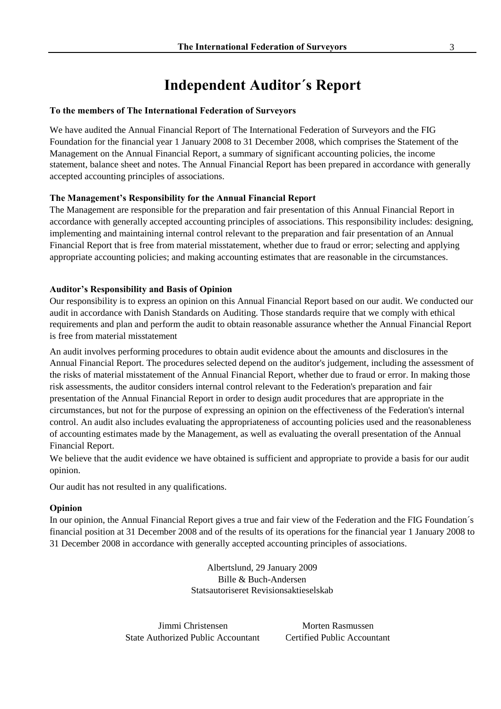## **Independent Auditor´s Report**

#### **To the members of The International Federation of Surveyors**

We have audited the Annual Financial Report of The International Federation of Surveyors and the FIG Foundation for the financial year 1 January 2008 to 31 December 2008, which comprises the Statement of the Management on the Annual Financial Report, a summary of significant accounting policies, the income statement, balance sheet and notes. The Annual Financial Report has been prepared in accordance with generally accepted accounting principles of associations.

#### **The Management's Responsibility for the Annual Financial Report**

The Management are responsible for the preparation and fair presentation of this Annual Financial Report in accordance with generally accepted accounting principles of associations. This responsibility includes: designing, implementing and maintaining internal control relevant to the preparation and fair presentation of an Annual Financial Report that is free from material misstatement, whether due to fraud or error; selecting and applying appropriate accounting policies; and making accounting estimates that are reasonable in the circumstances.

#### **Auditor's Responsibility and Basis of Opinion**

Our responsibility is to express an opinion on this Annual Financial Report based on our audit. We conducted our audit in accordance with Danish Standards on Auditing. Those standards require that we comply with ethical requirements and plan and perform the audit to obtain reasonable assurance whether the Annual Financial Report is free from material misstatement

An audit involves performing procedures to obtain audit evidence about the amounts and disclosures in the Annual Financial Report. The procedures selected depend on the auditor's judgement, including the assessment of the risks of material misstatement of the Annual Financial Report, whether due to fraud or error. In making those risk assessments, the auditor considers internal control relevant to the Federation's preparation and fair presentation of the Annual Financial Report in order to design audit procedures that are appropriate in the circumstances, but not for the purpose of expressing an opinion on the effectiveness of the Federation's internal control. An audit also includes evaluating the appropriateness of accounting policies used and the reasonableness of accounting estimates made by the Management, as well as evaluating the overall presentation of the Annual Financial Report.

We believe that the audit evidence we have obtained is sufficient and appropriate to provide a basis for our audit opinion.

Our audit has not resulted in any qualifications.

#### **Opinion**

In our opinion, the Annual Financial Report gives a true and fair view of the Federation and the FIG Foundation's financial position at 31 December 2008 and of the results of its operations for the financial year 1 January 2008 to 31 December 2008 in accordance with generally accepted accounting principles of associations.

> Albertslund, 29 January 2009 Bille & Buch-Andersen Statsautoriseret Revisionsaktieselskab

Jimmi Christensen Morten Rasmussen State Authorized Public Accountant Certified Public Accountant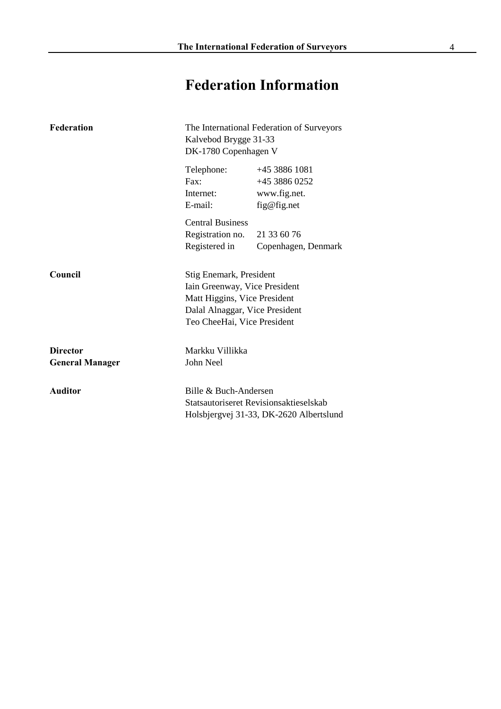# **Federation Information**

| <b>Federation</b>      | The International Federation of Surveyors<br>Kalvebod Brygge 31-33<br>DK-1780 Copenhagen V      |                                         |  |
|------------------------|-------------------------------------------------------------------------------------------------|-----------------------------------------|--|
|                        | Telephone:                                                                                      | +45 3886 1081                           |  |
|                        | $\text{Fax}:$<br>Internet:                                                                      | +45 3886 0252                           |  |
|                        | E-mail:                                                                                         | www.fig.net.<br>fig@fig.net             |  |
|                        | <b>Central Business</b>                                                                         |                                         |  |
|                        | Registration no.                                                                                | 21 33 60 76                             |  |
|                        | Registered in                                                                                   | Copenhagen, Denmark                     |  |
| Council                | Stig Enemark, President                                                                         |                                         |  |
|                        | Iain Greenway, Vice President<br>Matt Higgins, Vice President<br>Dalal Alnaggar, Vice President |                                         |  |
|                        |                                                                                                 |                                         |  |
|                        |                                                                                                 |                                         |  |
|                        | Teo CheeHai, Vice President                                                                     |                                         |  |
| <b>Director</b>        | Markku Villikka                                                                                 |                                         |  |
| <b>General Manager</b> | John Neel                                                                                       |                                         |  |
| <b>Auditor</b>         | Bille & Buch-Andersen                                                                           |                                         |  |
|                        | Statsautoriseret Revisionsaktieselskab                                                          |                                         |  |
|                        |                                                                                                 | Holsbjergvej 31-33, DK-2620 Albertslund |  |
|                        |                                                                                                 |                                         |  |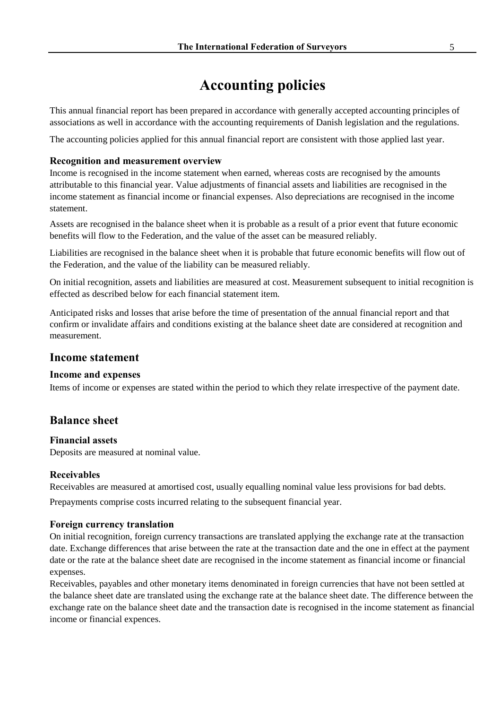## **Accounting policies**

This annual financial report has been prepared in accordance with generally accepted accounting principles of associations as well in accordance with the accounting requirements of Danish legislation and the regulations.

The accounting policies applied for this annual financial report are consistent with those applied last year.

#### **Recognition and measurement overview**

Income is recognised in the income statement when earned, whereas costs are recognised by the amounts attributable to this financial year. Value adjustments of financial assets and liabilities are recognised in the income statement as financial income or financial expenses. Also depreciations are recognised in the income statement.

Assets are recognised in the balance sheet when it is probable as a result of a prior event that future economic benefits will flow to the Federation, and the value of the asset can be measured reliably.

Liabilities are recognised in the balance sheet when it is probable that future economic benefits will flow out of the Federation, and the value of the liability can be measured reliably.

On initial recognition, assets and liabilities are measured at cost. Measurement subsequent to initial recognition is effected as described below for each financial statement item.

Anticipated risks and losses that arise before the time of presentation of the annual financial report and that confirm or invalidate affairs and conditions existing at the balance sheet date are considered at recognition and measurement.

## **Income statement**

#### **Income and expenses**

Items of income or expenses are stated within the period to which they relate irrespective of the payment date.

## **Balance sheet**

### **Financial assets**

Deposits are measured at nominal value.

### **Receivables**

Receivables are measured at amortised cost, usually equalling nominal value less provisions for bad debts.

Prepayments comprise costs incurred relating to the subsequent financial year.

### **Foreign currency translation**

On initial recognition, foreign currency transactions are translated applying the exchange rate at the transaction date. Exchange differences that arise between the rate at the transaction date and the one in effect at the payment date or the rate at the balance sheet date are recognised in the income statement as financial income or financial expenses.

Receivables, payables and other monetary items denominated in foreign currencies that have not been settled at the balance sheet date are translated using the exchange rate at the balance sheet date. The difference between the exchange rate on the balance sheet date and the transaction date is recognised in the income statement as financial income or financial expences.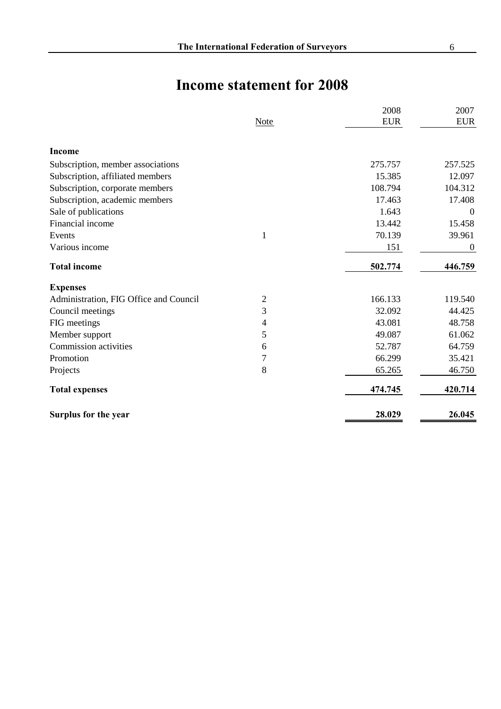## **Income statement for 2008**

|                                        |                | 2008       | 2007             |
|----------------------------------------|----------------|------------|------------------|
|                                        | Note           | <b>EUR</b> | <b>EUR</b>       |
| <b>Income</b>                          |                |            |                  |
| Subscription, member associations      |                | 275.757    | 257.525          |
| Subscription, affiliated members       |                | 15.385     | 12.097           |
| Subscription, corporate members        |                | 108.794    | 104.312          |
| Subscription, academic members         |                | 17.463     | 17.408           |
| Sale of publications                   |                | 1.643      | $\mathbf{0}$     |
| Financial income                       |                | 13.442     | 15.458           |
| Events                                 | $\mathbf{1}$   | 70.139     | 39.961           |
| Various income                         |                | 151        | $\boldsymbol{0}$ |
| <b>Total income</b>                    |                | 502.774    | 446.759          |
| <b>Expenses</b>                        |                |            |                  |
| Administration, FIG Office and Council | 2              | 166.133    | 119.540          |
| Council meetings                       | 3              | 32.092     | 44.425           |
| FIG meetings                           | 4              | 43.081     | 48.758           |
| Member support                         | 5              | 49.087     | 61.062           |
| Commission activities                  | 6              | 52.787     | 64.759           |
| Promotion                              | $\overline{7}$ | 66.299     | 35.421           |
| Projects                               | 8              | 65.265     | 46.750           |
| <b>Total expenses</b>                  |                | 474.745    | 420.714          |
| Surplus for the year                   |                | 28.029     | 26.045           |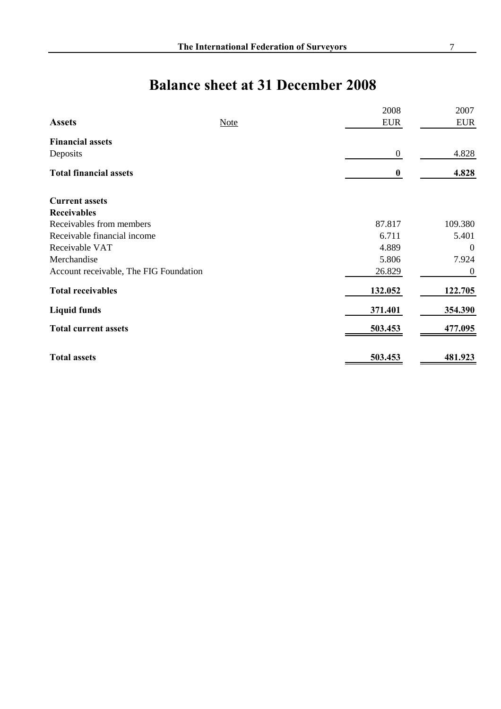# **Balance sheet at 31 December 2008**

|                                                       |             | 2008            | 2007                      |
|-------------------------------------------------------|-------------|-----------------|---------------------------|
| <b>Assets</b>                                         | <b>Note</b> | <b>EUR</b>      | <b>EUR</b>                |
| <b>Financial assets</b>                               |             |                 |                           |
| Deposits                                              |             | $\overline{0}$  | 4.828                     |
| <b>Total financial assets</b>                         |             | $\bf{0}$        | 4.828                     |
| <b>Current assets</b>                                 |             |                 |                           |
| <b>Receivables</b>                                    |             |                 |                           |
| Receivables from members                              |             | 87.817          | 109.380                   |
| Receivable financial income                           |             | 6.711           | 5.401                     |
| Receivable VAT                                        |             | 4.889           | $\theta$                  |
| Merchandise<br>Account receivable, The FIG Foundation |             | 5.806<br>26.829 | 7.924<br>$\boldsymbol{0}$ |
|                                                       |             |                 |                           |
| <b>Liquid funds</b>                                   |             | 371.401         | 354.390                   |
| <b>Total current assets</b>                           |             | 503.453         | 477.095                   |
| <b>Total assets</b>                                   |             | 503.453         | 481.923                   |